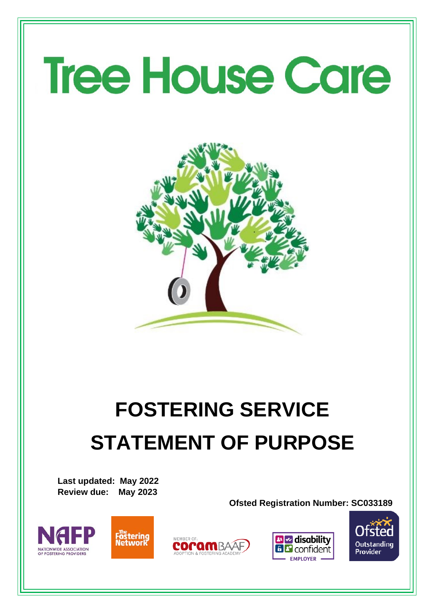# **Tree House Care**



# **FOSTERING SERVICE STATEMENT OF PURPOSE**

**Last updated: May 2022 Review due: May 2023**

**Ofsted Registration Number: SC033189**









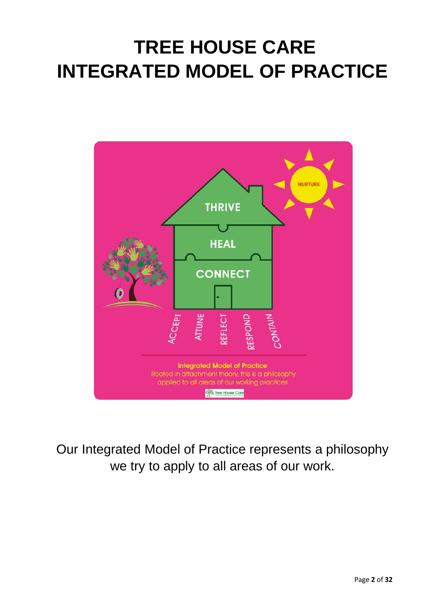# **TREE HOUSE CARE INTEGRATED MODEL OF PRACTICE**



Our Integrated Model of Practice represents a philosophy we try to apply to all areas of our work.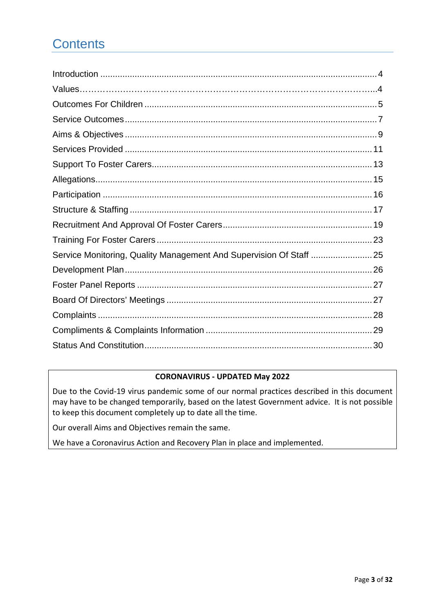## **Contents**

| Service Monitoring, Quality Management And Supervision Of Staff  25 |  |
|---------------------------------------------------------------------|--|
|                                                                     |  |
|                                                                     |  |
|                                                                     |  |
|                                                                     |  |
|                                                                     |  |
|                                                                     |  |

#### **CORONAVIRUS - UPDATED May 2022**

Due to the Covid-19 virus pandemic some of our normal practices described in this document may have to be changed temporarily, based on the latest Government advice. It is not possible to keep this document completely up to date all the time.

Our overall Aims and Objectives remain the same.

We have a Coronavirus Action and Recovery Plan in place and implemented.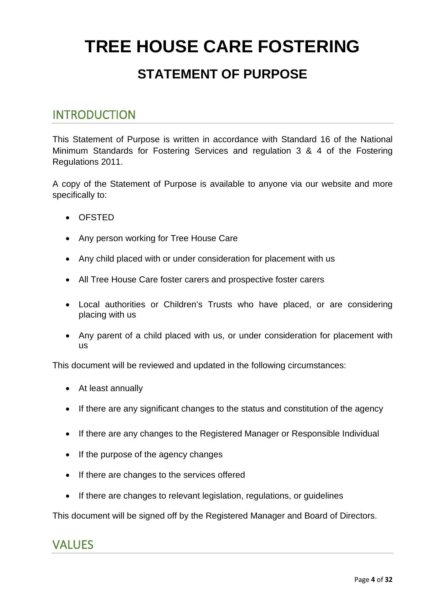# **TREE HOUSE CARE FOSTERING STATEMENT OF PURPOSE**

#### <span id="page-3-0"></span>INTRODUCTION

This Statement of Purpose is written in accordance with Standard 16 of the National Minimum Standards for Fostering Services and regulation 3 & 4 of the Fostering Regulations 2011.

A copy of the Statement of Purpose is available to anyone via our website and more specifically to:

- OFSTED
- Any person working for Tree House Care
- Any child placed with or under consideration for placement with us
- All Tree House Care foster carers and prospective foster carers
- Local authorities or Children's Trusts who have placed, or are considering placing with us
- Any parent of a child placed with us, or under consideration for placement with us

This document will be reviewed and updated in the following circumstances:

- At least annually
- If there are any significant changes to the status and constitution of the agency
- If there are any changes to the Registered Manager or Responsible Individual
- If the purpose of the agency changes
- If there are changes to the services offered
- If there are changes to relevant legislation, regulations, or guidelines

<span id="page-3-1"></span>This document will be signed off by the Registered Manager and Board of Directors.

#### VALUES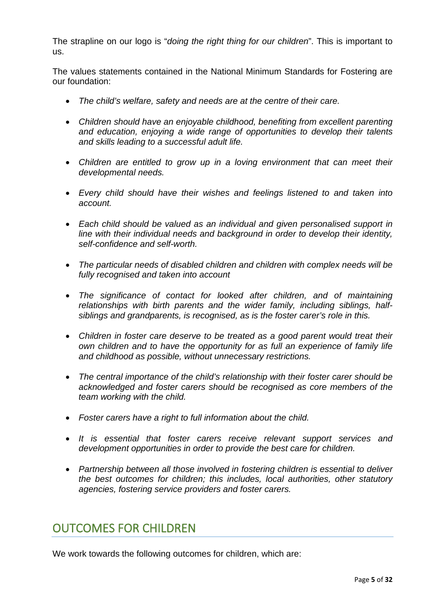The strapline on our logo is "*doing the right thing for our children*". This is important to us.

The values statements contained in the National Minimum Standards for Fostering are our foundation:

- *The child's welfare, safety and needs are at the centre of their care.*
- *Children should have an enjoyable childhood, benefiting from excellent parenting and education, enjoying a wide range of opportunities to develop their talents and skills leading to a successful adult life.*
- *Children are entitled to grow up in a loving environment that can meet their developmental needs.*
- *Every child should have their wishes and feelings listened to and taken into account.*
- *Each child should be valued as an individual and given personalised support in line with their individual needs and background in order to develop their identity, self-confidence and self-worth.*
- *The particular needs of disabled children and children with complex needs will be fully recognised and taken into account*
- *The significance of contact for looked after children, and of maintaining relationships with birth parents and the wider family, including siblings, halfsiblings and grandparents, is recognised, as is the foster carer's role in this.*
- *Children in foster care deserve to be treated as a good parent would treat their own children and to have the opportunity for as full an experience of family life and childhood as possible, without unnecessary restrictions.*
- *The central importance of the child's relationship with their foster carer should be acknowledged and foster carers should be recognised as core members of the team working with the child.*
- *Foster carers have a right to full information about the child.*
- *It is essential that foster carers receive relevant support services and development opportunities in order to provide the best care for children.*
- *Partnership between all those involved in fostering children is essential to deliver the best outcomes for children; this includes, local authorities, other statutory agencies, fostering service providers and foster carers.*

#### <span id="page-4-0"></span>OUTCOMES FOR CHILDREN

We work towards the following outcomes for children, which are: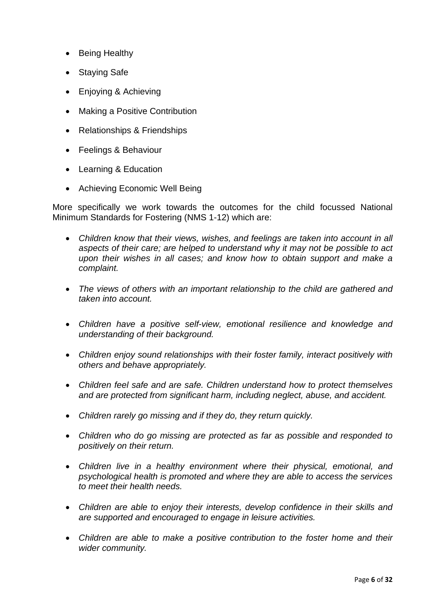- Being Healthy
- **Staying Safe**
- Enjoying & Achieving
- Making a Positive Contribution
- Relationships & Friendships
- Feelings & Behaviour
- Learning & Education
- Achieving Economic Well Being

More specifically we work towards the outcomes for the child focussed National Minimum Standards for Fostering (NMS 1-12) which are:

- *Children know that their views, wishes, and feelings are taken into account in all aspects of their care; are helped to understand why it may not be possible to act upon their wishes in all cases; and know how to obtain support and make a complaint.*
- *The views of others with an important relationship to the child are gathered and taken into account.*
- *Children have a positive self-view, emotional resilience and knowledge and understanding of their background.*
- *Children enjoy sound relationships with their foster family, interact positively with others and behave appropriately.*
- *Children feel safe and are safe. Children understand how to protect themselves and are protected from significant harm, including neglect, abuse, and accident.*
- *Children rarely go missing and if they do, they return quickly.*
- *Children who do go missing are protected as far as possible and responded to positively on their return.*
- *Children live in a healthy environment where their physical, emotional, and psychological health is promoted and where they are able to access the services to meet their health needs.*
- *Children are able to enjoy their interests, develop confidence in their skills and are supported and encouraged to engage in leisure activities.*
- *Children are able to make a positive contribution to the foster home and their wider community.*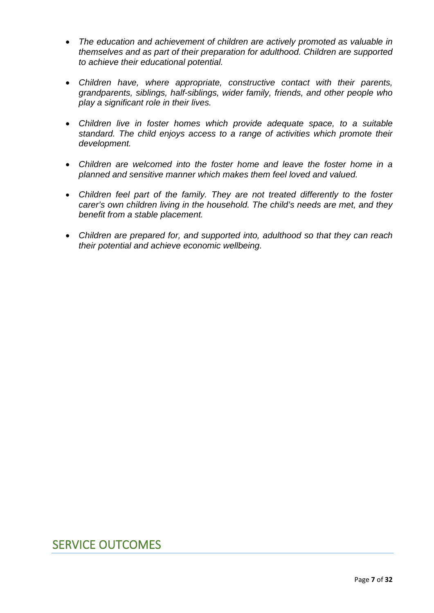- *The education and achievement of children are actively promoted as valuable in themselves and as part of their preparation for adulthood. Children are supported to achieve their educational potential.*
- *Children have, where appropriate, constructive contact with their parents, grandparents, siblings, half-siblings, wider family, friends, and other people who play a significant role in their lives.*
- *Children live in foster homes which provide adequate space, to a suitable standard. The child enjoys access to a range of activities which promote their development.*
- *Children are welcomed into the foster home and leave the foster home in a planned and sensitive manner which makes them feel loved and valued.*
- *Children feel part of the family. They are not treated differently to the foster carer's own children living in the household. The child's needs are met, and they benefit from a stable placement.*
- *Children are prepared for, and supported into, adulthood so that they can reach their potential and achieve economic wellbeing.*

#### <span id="page-6-0"></span>SERVICE OUTCOMES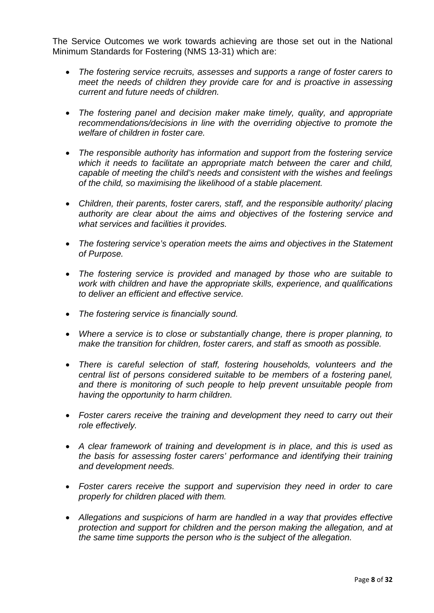The Service Outcomes we work towards achieving are those set out in the National Minimum Standards for Fostering (NMS 13-31) which are:

- *The fostering service recruits, assesses and supports a range of foster carers to meet the needs of children they provide care for and is proactive in assessing current and future needs of children.*
- *The fostering panel and decision maker make timely, quality, and appropriate recommendations/decisions in line with the overriding objective to promote the welfare of children in foster care.*
- *The responsible authority has information and support from the fostering service which it needs to facilitate an appropriate match between the carer and child, capable of meeting the child's needs and consistent with the wishes and feelings of the child, so maximising the likelihood of a stable placement.*
- *Children, their parents, foster carers, staff, and the responsible authority/ placing authority are clear about the aims and objectives of the fostering service and what services and facilities it provides.*
- *The fostering service's operation meets the aims and objectives in the Statement of Purpose.*
- *The fostering service is provided and managed by those who are suitable to work with children and have the appropriate skills, experience, and qualifications to deliver an efficient and effective service.*
- *The fostering service is financially sound.*
- *Where a service is to close or substantially change, there is proper planning, to make the transition for children, foster carers, and staff as smooth as possible.*
- *There is careful selection of staff, fostering households, volunteers and the central list of persons considered suitable to be members of a fostering panel, and there is monitoring of such people to help prevent unsuitable people from having the opportunity to harm children.*
- *Foster carers receive the training and development they need to carry out their role effectively.*
- *A clear framework of training and development is in place, and this is used as the basis for assessing foster carers' performance and identifying their training and development needs.*
- *Foster carers receive the support and supervision they need in order to care properly for children placed with them.*
- *Allegations and suspicions of harm are handled in a way that provides effective protection and support for children and the person making the allegation, and at the same time supports the person who is the subject of the allegation.*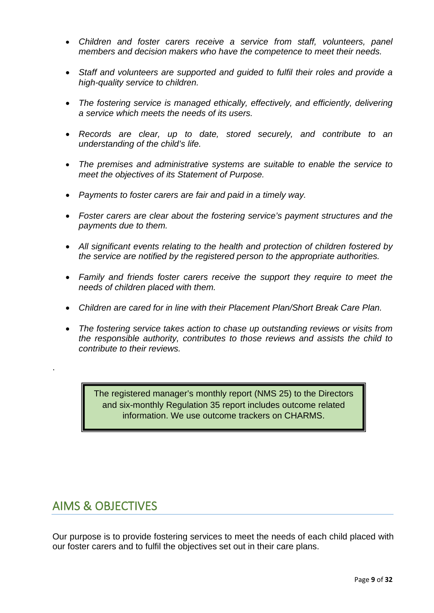- *Children and foster carers receive a service from staff, volunteers, panel members and decision makers who have the competence to meet their needs.*
- *Staff and volunteers are supported and guided to fulfil their roles and provide a high-quality service to children.*
- *The fostering service is managed ethically, effectively, and efficiently, delivering a service which meets the needs of its users.*
- *Records are clear, up to date, stored securely, and contribute to an understanding of the child's life.*
- *The premises and administrative systems are suitable to enable the service to meet the objectives of its Statement of Purpose.*
- *Payments to foster carers are fair and paid in a timely way.*
- *Foster carers are clear about the fostering service's payment structures and the payments due to them.*
- *All significant events relating to the health and protection of children fostered by the service are notified by the registered person to the appropriate authorities.*
- *Family and friends foster carers receive the support they require to meet the needs of children placed with them.*
- *Children are cared for in line with their Placement Plan/Short Break Care Plan.*
- *The fostering service takes action to chase up outstanding reviews or visits from the responsible authority, contributes to those reviews and assists the child to contribute to their reviews.*

The registered manager's monthly report (NMS 25) to the Directors and six-monthly Regulation 35 report includes outcome related information. We use outcome trackers on CHARMS.

#### <span id="page-8-0"></span>AIMS & OBJECTIVES

.

Our purpose is to provide fostering services to meet the needs of each child placed with our foster carers and to fulfil the objectives set out in their care plans.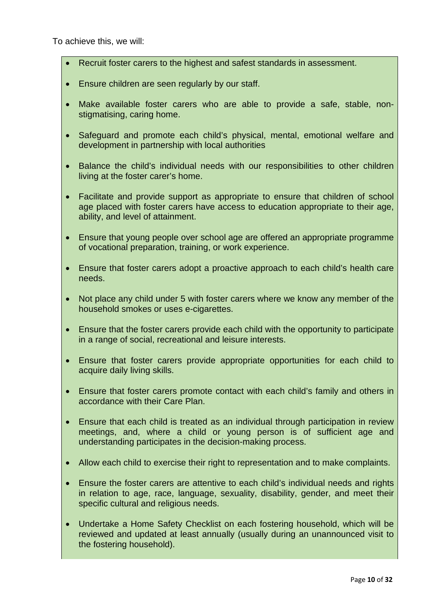To achieve this, we will:

- Recruit foster carers to the highest and safest standards in assessment.
- Ensure children are seen regularly by our staff.
- Make available foster carers who are able to provide a safe, stable, nonstigmatising, caring home.
- Safeguard and promote each child's physical, mental, emotional welfare and development in partnership with local authorities
- Balance the child's individual needs with our responsibilities to other children living at the foster carer's home.
- Facilitate and provide support as appropriate to ensure that children of school age placed with foster carers have access to education appropriate to their age, ability, and level of attainment.
- Ensure that young people over school age are offered an appropriate programme of vocational preparation, training, or work experience.
- Ensure that foster carers adopt a proactive approach to each child's health care needs.
- Not place any child under 5 with foster carers where we know any member of the household smokes or uses e-cigarettes.
- Ensure that the foster carers provide each child with the opportunity to participate in a range of social, recreational and leisure interests.
- Ensure that foster carers provide appropriate opportunities for each child to acquire daily living skills.
- Ensure that foster carers promote contact with each child's family and others in accordance with their Care Plan.
- Ensure that each child is treated as an individual through participation in review meetings, and, where a child or young person is of sufficient age and understanding participates in the decision-making process.
- Allow each child to exercise their right to representation and to make complaints.
- Ensure the foster carers are attentive to each child's individual needs and rights in relation to age, race, language, sexuality, disability, gender, and meet their specific cultural and religious needs.
- Undertake a Home Safety Checklist on each fostering household, which will be reviewed and updated at least annually (usually during an unannounced visit to the fostering household).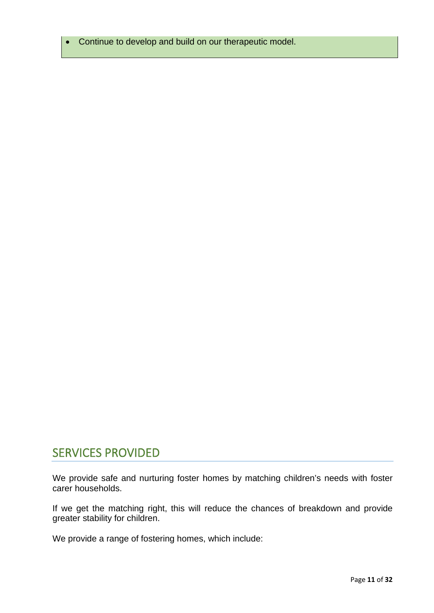• Continue to develop and build on our therapeutic model.

#### <span id="page-10-0"></span>SERVICES PROVIDED

We provide safe and nurturing foster homes by matching children's needs with foster carer households.

If we get the matching right, this will reduce the chances of breakdown and provide greater stability for children.

We provide a range of fostering homes, which include: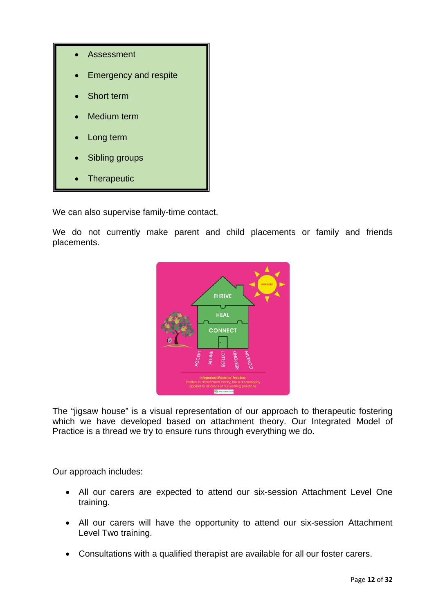

We can also supervise family-time contact.

We do not currently make parent and child placements or family and friends placements.



The "jigsaw house" is a visual representation of our approach to therapeutic fostering which we have developed based on attachment theory. Our Integrated Model of Practice is a thread we try to ensure runs through everything we do.

Our approach includes:

- All our carers are expected to attend our six-session Attachment Level One training.
- All our carers will have the opportunity to attend our six-session Attachment Level Two training.
- Consultations with a qualified therapist are available for all our foster carers.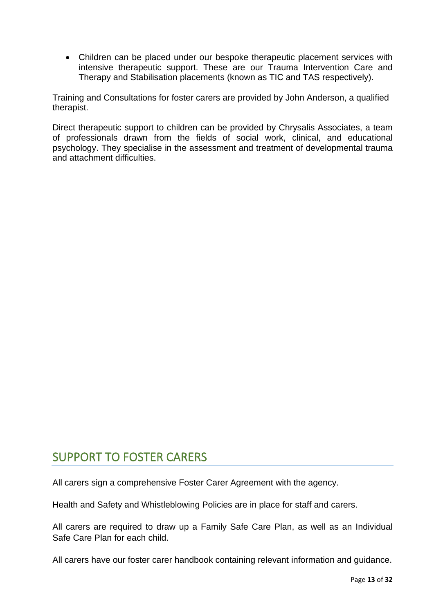• Children can be placed under our bespoke therapeutic placement services with intensive therapeutic support. These are our Trauma Intervention Care and Therapy and Stabilisation placements (known as TIC and TAS respectively).

Training and Consultations for foster carers are provided by John Anderson, a qualified therapist.

Direct therapeutic support to children can be provided by Chrysalis Associates, a team of professionals drawn from the fields of social work, clinical, and educational psychology. They specialise in the assessment and treatment of developmental trauma and attachment difficulties.

#### <span id="page-12-0"></span>SUPPORT TO FOSTER CARERS

All carers sign a comprehensive Foster Carer Agreement with the agency.

Health and Safety and Whistleblowing Policies are in place for staff and carers.

All carers are required to draw up a Family Safe Care Plan, as well as an Individual Safe Care Plan for each child.

All carers have our foster carer handbook containing relevant information and guidance.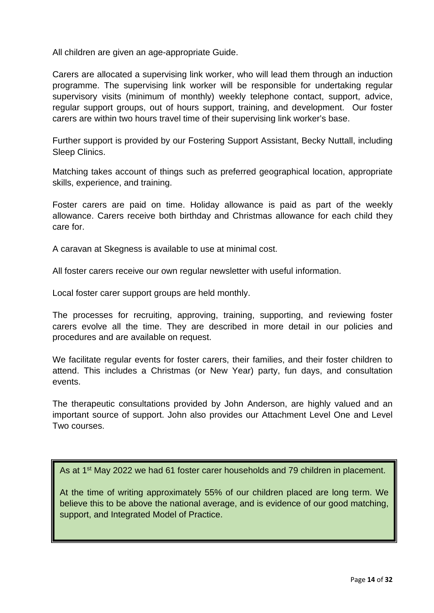All children are given an age-appropriate Guide.

Carers are allocated a supervising link worker, who will lead them through an induction programme. The supervising link worker will be responsible for undertaking regular supervisory visits (minimum of monthly) weekly telephone contact, support, advice, regular support groups, out of hours support, training, and development. Our foster carers are within two hours travel time of their supervising link worker's base.

Further support is provided by our Fostering Support Assistant, Becky Nuttall, including Sleep Clinics.

Matching takes account of things such as preferred geographical location, appropriate skills, experience, and training.

Foster carers are paid on time. Holiday allowance is paid as part of the weekly allowance. Carers receive both birthday and Christmas allowance for each child they care for.

A caravan at Skegness is available to use at minimal cost.

All foster carers receive our own regular newsletter with useful information.

Local foster carer support groups are held monthly.

The processes for recruiting, approving, training, supporting, and reviewing foster carers evolve all the time. They are described in more detail in our policies and procedures and are available on request.

We facilitate regular events for foster carers, their families, and their foster children to attend. This includes a Christmas (or New Year) party, fun days, and consultation events.

The therapeutic consultations provided by John Anderson, are highly valued and an important source of support. John also provides our Attachment Level One and Level Two courses.

As at 1<sup>st</sup> May 2022 we had 61 foster carer households and 79 children in placement.

At the time of writing approximately 55% of our children placed are long term. We believe this to be above the national average, and is evidence of our good matching, support, and Integrated Model of Practice.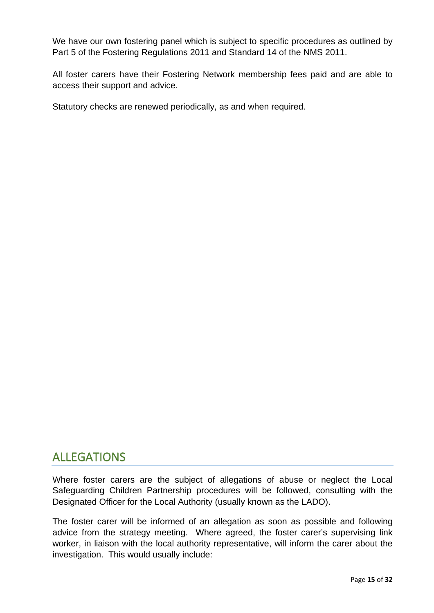We have our own fostering panel which is subject to specific procedures as outlined by Part 5 of the Fostering Regulations 2011 and Standard 14 of the NMS 2011.

All foster carers have their Fostering Network membership fees paid and are able to access their support and advice.

Statutory checks are renewed periodically, as and when required.

#### <span id="page-14-0"></span>ALLEGATIONS

Where foster carers are the subject of allegations of abuse or neglect the Local Safeguarding Children Partnership procedures will be followed, consulting with the Designated Officer for the Local Authority (usually known as the LADO).

The foster carer will be informed of an allegation as soon as possible and following advice from the strategy meeting. Where agreed, the foster carer's supervising link worker, in liaison with the local authority representative, will inform the carer about the investigation. This would usually include: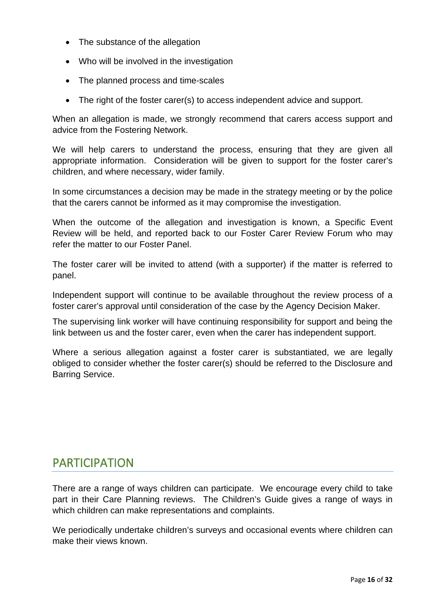- The substance of the allegation
- Who will be involved in the investigation
- The planned process and time-scales
- The right of the foster carer(s) to access independent advice and support.

When an allegation is made, we strongly recommend that carers access support and advice from the Fostering Network.

We will help carers to understand the process, ensuring that they are given all appropriate information. Consideration will be given to support for the foster carer's children, and where necessary, wider family.

In some circumstances a decision may be made in the strategy meeting or by the police that the carers cannot be informed as it may compromise the investigation.

When the outcome of the allegation and investigation is known, a Specific Event Review will be held, and reported back to our Foster Carer Review Forum who may refer the matter to our Foster Panel.

The foster carer will be invited to attend (with a supporter) if the matter is referred to panel.

Independent support will continue to be available throughout the review process of a foster carer's approval until consideration of the case by the Agency Decision Maker.

The supervising link worker will have continuing responsibility for support and being the link between us and the foster carer, even when the carer has independent support.

Where a serious allegation against a foster carer is substantiated, we are legally obliged to consider whether the foster carer(s) should be referred to the Disclosure and Barring Service.

## <span id="page-15-0"></span>PARTICIPATION

There are a range of ways children can participate. We encourage every child to take part in their Care Planning reviews. The Children's Guide gives a range of ways in which children can make representations and complaints.

We periodically undertake children's surveys and occasional events where children can make their views known.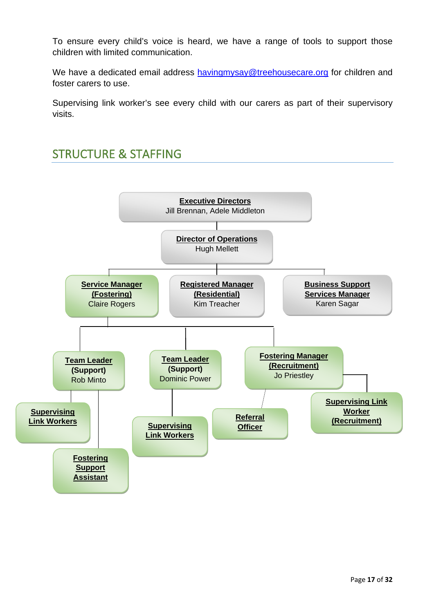To ensure every child's voice is heard, we have a range of tools to support those children with limited communication.

We have a dedicated email address [havingmysay@treehousecare.org](mailto:havingmysay@treehousecare.org) for children and foster carers to use.

Supervising link worker's see every child with our carers as part of their supervisory visits.

## <span id="page-16-0"></span>STRUCTURE & STAFFING

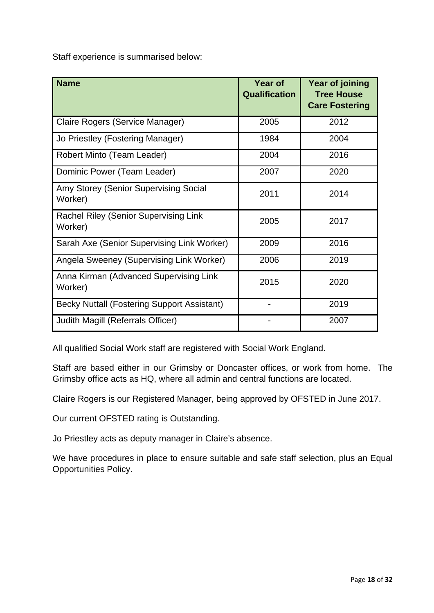Staff experience is summarised below:

| <b>Name</b>                                        | <b>Year of</b><br><b>Qualification</b> | Year of joining<br><b>Tree House</b><br><b>Care Fostering</b> |
|----------------------------------------------------|----------------------------------------|---------------------------------------------------------------|
| Claire Rogers (Service Manager)                    | 2005                                   | 2012                                                          |
| Jo Priestley (Fostering Manager)                   | 1984                                   | 2004                                                          |
| Robert Minto (Team Leader)                         | 2004                                   | 2016                                                          |
| Dominic Power (Team Leader)                        | 2007                                   | 2020                                                          |
| Amy Storey (Senior Supervising Social<br>Worker)   | 2011                                   | 2014                                                          |
| Rachel Riley (Senior Supervising Link<br>Worker)   | 2005                                   | 2017                                                          |
| Sarah Axe (Senior Supervising Link Worker)         | 2009                                   | 2016                                                          |
| Angela Sweeney (Supervising Link Worker)           | 2006                                   | 2019                                                          |
| Anna Kirman (Advanced Supervising Link<br>Worker)  | 2015                                   | 2020                                                          |
| <b>Becky Nuttall (Fostering Support Assistant)</b> |                                        | 2019                                                          |
| Judith Magill (Referrals Officer)                  |                                        | 2007                                                          |

All qualified Social Work staff are registered with Social Work England.

Staff are based either in our Grimsby or Doncaster offices, or work from home. The Grimsby office acts as HQ, where all admin and central functions are located.

Claire Rogers is our Registered Manager, being approved by OFSTED in June 2017.

Our current OFSTED rating is Outstanding.

Jo Priestley acts as deputy manager in Claire's absence.

We have procedures in place to ensure suitable and safe staff selection, plus an Equal Opportunities Policy.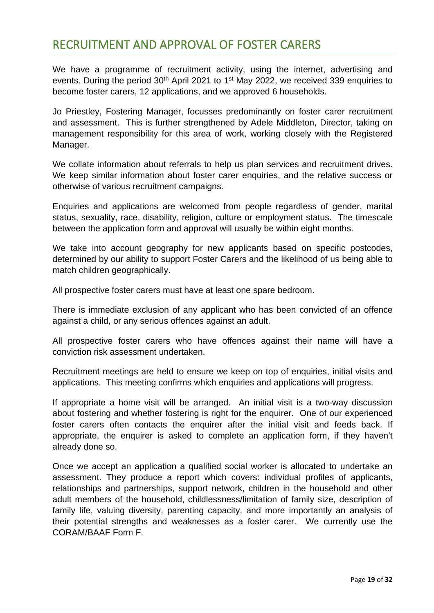#### <span id="page-18-0"></span>RECRUITMENT AND APPROVAL OF FOSTER CARERS

We have a programme of recruitment activity, using the internet, advertising and events. During the period 30<sup>th</sup> April 2021 to 1<sup>st</sup> May 2022, we received 339 enquiries to become foster carers, 12 applications, and we approved 6 households.

Jo Priestley, Fostering Manager, focusses predominantly on foster carer recruitment and assessment. This is further strengthened by Adele Middleton, Director, taking on management responsibility for this area of work, working closely with the Registered Manager.

We collate information about referrals to help us plan services and recruitment drives. We keep similar information about foster carer enquiries, and the relative success or otherwise of various recruitment campaigns.

Enquiries and applications are welcomed from people regardless of gender, marital status, sexuality, race, disability, religion, culture or employment status. The timescale between the application form and approval will usually be within eight months.

We take into account geography for new applicants based on specific postcodes, determined by our ability to support Foster Carers and the likelihood of us being able to match children geographically.

All prospective foster carers must have at least one spare bedroom.

There is immediate exclusion of any applicant who has been convicted of an offence against a child, or any serious offences against an adult.

All prospective foster carers who have offences against their name will have a conviction risk assessment undertaken.

Recruitment meetings are held to ensure we keep on top of enquiries, initial visits and applications. This meeting confirms which enquiries and applications will progress.

If appropriate a home visit will be arranged. An initial visit is a two-way discussion about fostering and whether fostering is right for the enquirer. One of our experienced foster carers often contacts the enquirer after the initial visit and feeds back. If appropriate, the enquirer is asked to complete an application form, if they haven't already done so.

Once we accept an application a qualified social worker is allocated to undertake an assessment. They produce a report which covers: individual profiles of applicants, relationships and partnerships, support network, children in the household and other adult members of the household, childlessness/limitation of family size, description of family life, valuing diversity, parenting capacity, and more importantly an analysis of their potential strengths and weaknesses as a foster carer. We currently use the CORAM/BAAF Form F.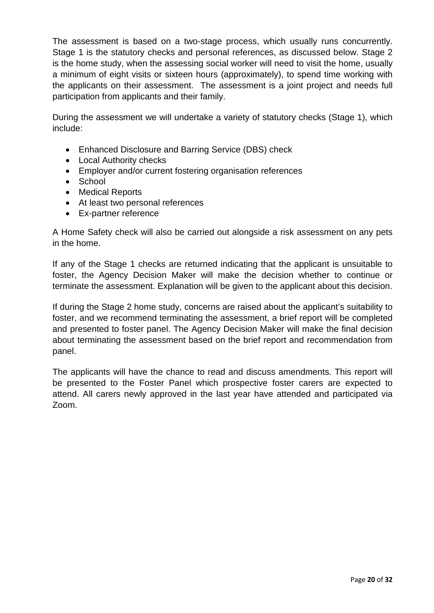The assessment is based on a two-stage process, which usually runs concurrently. Stage 1 is the statutory checks and personal references, as discussed below. Stage 2 is the home study, when the assessing social worker will need to visit the home, usually a minimum of eight visits or sixteen hours (approximately), to spend time working with the applicants on their assessment. The assessment is a joint project and needs full participation from applicants and their family.

During the assessment we will undertake a variety of statutory checks (Stage 1), which include:

- Enhanced Disclosure and Barring Service (DBS) check
- Local Authority checks
- Employer and/or current fostering organisation references
- School
- Medical Reports
- At least two personal references
- Ex-partner reference

A Home Safety check will also be carried out alongside a risk assessment on any pets in the home.

If any of the Stage 1 checks are returned indicating that the applicant is unsuitable to foster, the Agency Decision Maker will make the decision whether to continue or terminate the assessment. Explanation will be given to the applicant about this decision.

If during the Stage 2 home study, concerns are raised about the applicant's suitability to foster, and we recommend terminating the assessment, a brief report will be completed and presented to foster panel. The Agency Decision Maker will make the final decision about terminating the assessment based on the brief report and recommendation from panel.

The applicants will have the chance to read and discuss amendments. This report will be presented to the Foster Panel which prospective foster carers are expected to attend. All carers newly approved in the last year have attended and participated via Zoom.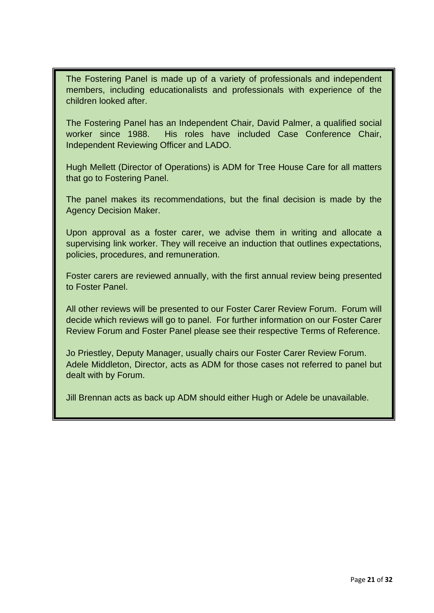The Fostering Panel is made up of a variety of professionals and independent members, including educationalists and professionals with experience of the children looked after.

The Fostering Panel has an Independent Chair, David Palmer, a qualified social worker since 1988. His roles have included Case Conference Chair, Independent Reviewing Officer and LADO.

Hugh Mellett (Director of Operations) is ADM for Tree House Care for all matters that go to Fostering Panel.

The panel makes its recommendations, but the final decision is made by the Agency Decision Maker.

Upon approval as a foster carer, we advise them in writing and allocate a supervising link worker. They will receive an induction that outlines expectations, policies, procedures, and remuneration.

Foster carers are reviewed annually, with the first annual review being presented to Foster Panel.

All other reviews will be presented to our Foster Carer Review Forum. Forum will decide which reviews will go to panel. For further information on our Foster Carer Review Forum and Foster Panel please see their respective Terms of Reference.

Jo Priestley, Deputy Manager, usually chairs our Foster Carer Review Forum. Adele Middleton, Director, acts as ADM for those cases not referred to panel but dealt with by Forum.

Jill Brennan acts as back up ADM should either Hugh or Adele be unavailable.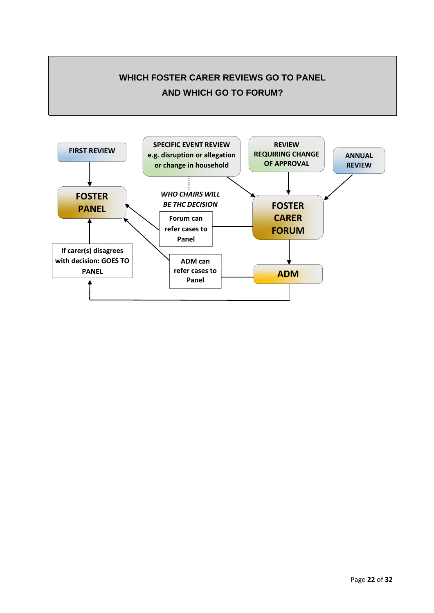

<span id="page-21-0"></span>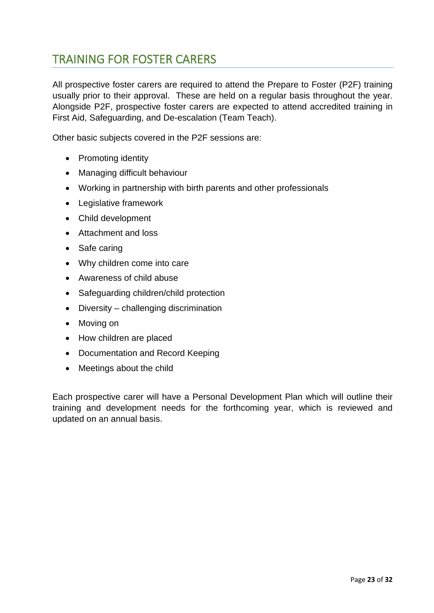## TRAINING FOR FOSTER CARERS

All prospective foster carers are required to attend the Prepare to Foster (P2F) training usually prior to their approval. These are held on a regular basis throughout the year. Alongside P2F, prospective foster carers are expected to attend accredited training in First Aid, Safeguarding, and De-escalation (Team Teach).

Other basic subjects covered in the P2F sessions are:

- Promoting identity
- Managing difficult behaviour
- Working in partnership with birth parents and other professionals
- Legislative framework
- Child development
- Attachment and loss
- Safe caring
- Why children come into care
- Awareness of child abuse
- Safeguarding children/child protection
- Diversity challenging discrimination
- Moving on
- How children are placed
- Documentation and Record Keeping
- Meetings about the child

Each prospective carer will have a Personal Development Plan which will outline their training and development needs for the forthcoming year, which is reviewed and updated on an annual basis.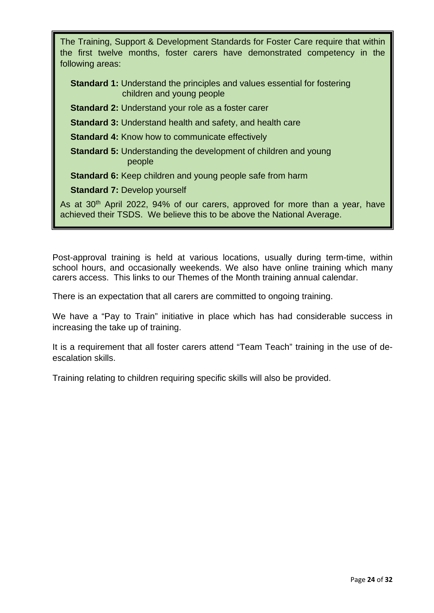| The Training, Support & Development Standards for Foster Care require that within<br>the first twelve months, foster carers have demonstrated competency in the<br>following areas: |
|-------------------------------------------------------------------------------------------------------------------------------------------------------------------------------------|
| <b>Standard 1:</b> Understand the principles and values essential for fostering<br>children and young people                                                                        |
| <b>Standard 2: Understand your role as a foster carer</b>                                                                                                                           |
| <b>Standard 3: Understand health and safety, and health care</b>                                                                                                                    |
| <b>Standard 4: Know how to communicate effectively</b>                                                                                                                              |
| <b>Standard 5:</b> Understanding the development of children and young<br>people                                                                                                    |
| <b>Standard 6:</b> Keep children and young people safe from harm                                                                                                                    |
| <b>Standard 7: Develop yourself</b>                                                                                                                                                 |
| As at 30 <sup>th</sup> April 2022, 94% of our carers, approved for more than a year, have<br>achieved their TSDS. We believe this to be above the National Average.                 |

Post-approval training is held at various locations, usually during term-time, within school hours, and occasionally weekends. We also have online training which many carers access. This links to our Themes of the Month training annual calendar.

There is an expectation that all carers are committed to ongoing training.

We have a "Pay to Train" initiative in place which has had considerable success in increasing the take up of training.

It is a requirement that all foster carers attend "Team Teach" training in the use of deescalation skills.

Training relating to children requiring specific skills will also be provided.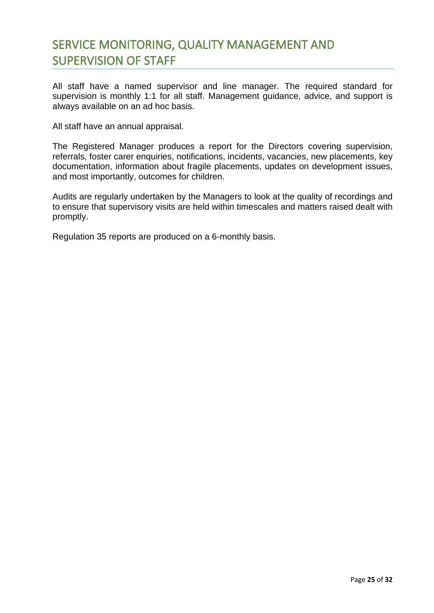## <span id="page-24-0"></span>SERVICE MONITORING, QUALITY MANAGEMENT AND SUPERVISION OF STAFF

All staff have a named supervisor and line manager. The required standard for supervision is monthly 1:1 for all staff. Management guidance, advice, and support is always available on an ad hoc basis.

All staff have an annual appraisal.

The Registered Manager produces a report for the Directors covering supervision, referrals, foster carer enquiries, notifications, incidents, vacancies, new placements, key documentation, information about fragile placements, updates on development issues, and most importantly, outcomes for children.

Audits are regularly undertaken by the Managers to look at the quality of recordings and to ensure that supervisory visits are held within timescales and matters raised dealt with promptly.

Regulation 35 reports are produced on a 6-monthly basis.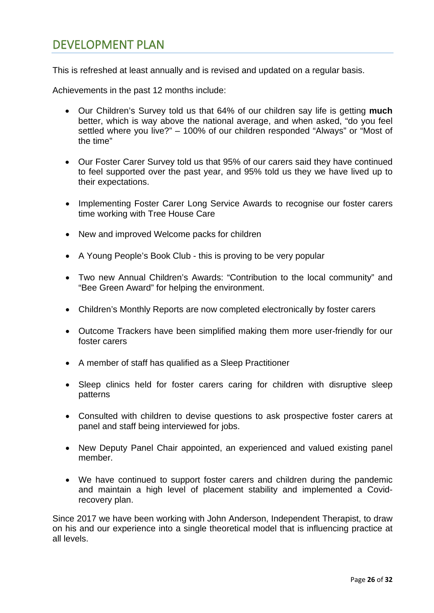#### <span id="page-25-0"></span>DEVELOPMENT PLAN

This is refreshed at least annually and is revised and updated on a regular basis.

Achievements in the past 12 months include:

- Our Children's Survey told us that 64% of our children say life is getting **much** better, which is way above the national average, and when asked, "do you feel settled where you live?" – 100% of our children responded "Always" or "Most of the time"
- Our Foster Carer Survey told us that 95% of our carers said they have continued to feel supported over the past year, and 95% told us they we have lived up to their expectations.
- Implementing Foster Carer Long Service Awards to recognise our foster carers time working with Tree House Care
- New and improved Welcome packs for children
- A Young People's Book Club this is proving to be very popular
- Two new Annual Children's Awards: "Contribution to the local community" and "Bee Green Award" for helping the environment.
- Children's Monthly Reports are now completed electronically by foster carers
- Outcome Trackers have been simplified making them more user-friendly for our foster carers
- A member of staff has qualified as a Sleep Practitioner
- Sleep clinics held for foster carers caring for children with disruptive sleep patterns
- Consulted with children to devise questions to ask prospective foster carers at panel and staff being interviewed for jobs.
- New Deputy Panel Chair appointed, an experienced and valued existing panel member.
- We have continued to support foster carers and children during the pandemic and maintain a high level of placement stability and implemented a Covidrecovery plan.

Since 2017 we have been working with John Anderson, Independent Therapist, to draw on his and our experience into a single theoretical model that is influencing practice at all levels.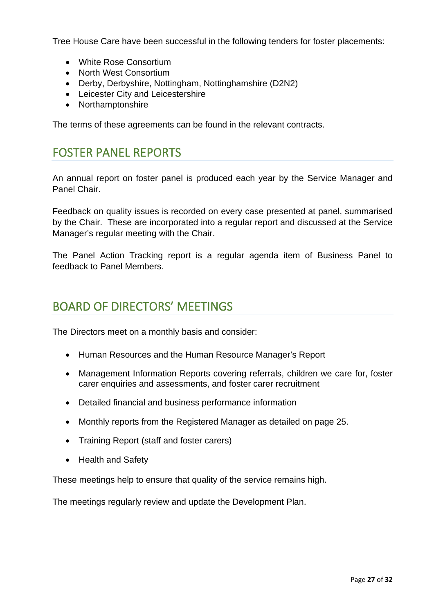Tree House Care have been successful in the following tenders for foster placements:

- White Rose Consortium
- North West Consortium
- Derby, Derbyshire, Nottingham, Nottinghamshire (D2N2)
- Leicester City and Leicestershire
- Northamptonshire

<span id="page-26-0"></span>The terms of these agreements can be found in the relevant contracts.

#### FOSTER PANEL REPORTS

An annual report on foster panel is produced each year by the Service Manager and Panel Chair.

Feedback on quality issues is recorded on every case presented at panel, summarised by the Chair. These are incorporated into a regular report and discussed at the Service Manager's regular meeting with the Chair.

The Panel Action Tracking report is a regular agenda item of Business Panel to feedback to Panel Members.

#### <span id="page-26-1"></span>BOARD OF DIRECTORS' MEETINGS

The Directors meet on a monthly basis and consider:

- Human Resources and the Human Resource Manager's Report
- Management Information Reports covering referrals, children we care for, foster carer enquiries and assessments, and foster carer recruitment
- Detailed financial and business performance information
- Monthly reports from the Registered Manager as detailed on page 25.
- Training Report (staff and foster carers)
- Health and Safety

These meetings help to ensure that quality of the service remains high.

The meetings regularly review and update the Development Plan.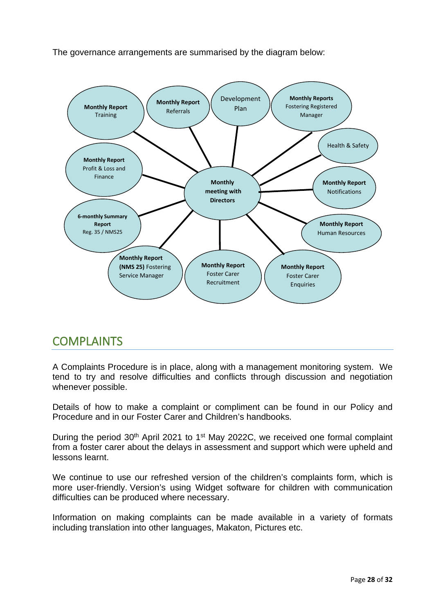The governance arrangements are summarised by the diagram below:



#### <span id="page-27-0"></span>**COMPLAINTS**

A Complaints Procedure is in place, along with a management monitoring system. We tend to try and resolve difficulties and conflicts through discussion and negotiation whenever possible.

Details of how to make a complaint or compliment can be found in our Policy and Procedure and in our Foster Carer and Children's handbooks.

During the period 30<sup>th</sup> April 2021 to 1<sup>st</sup> May 2022C, we received one formal complaint from a foster carer about the delays in assessment and support which were upheld and lessons learnt.

We continue to use our refreshed version of the children's complaints form, which is more user-friendly. Version's using Widget software for children with communication difficulties can be produced where necessary.

Information on making complaints can be made available in a variety of formats including translation into other languages, Makaton, Pictures etc.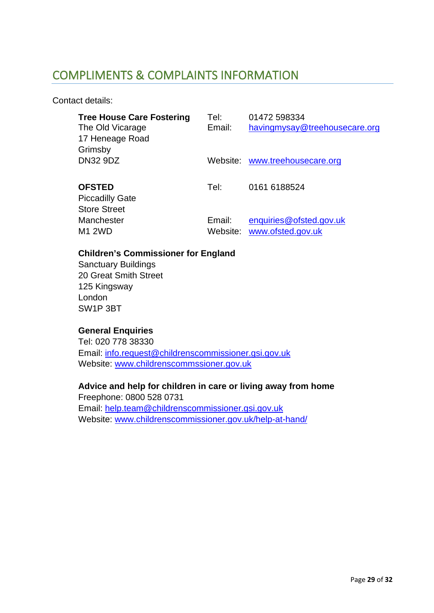#### <span id="page-28-0"></span>COMPLIMENTS & COMPLAINTS INFORMATION

Contact details:

| <b>Tree House Care Fostering</b><br>The Old Vicarage<br>17 Heneage Road<br>Grimsby | Tel:<br>Email: | 01472 598334<br>havingmysay@treehousecare.org         |
|------------------------------------------------------------------------------------|----------------|-------------------------------------------------------|
| <b>DN32 9DZ</b>                                                                    |                | Website: www.treehousecare.org                        |
| <b>OFSTED</b><br><b>Piccadilly Gate</b><br><b>Store Street</b>                     | Tel:           | 0161 6188524                                          |
| Manchester<br><b>M1 2WD</b>                                                        | Email:         | enquiries@ofsted.gov.uk<br>Website: www.ofsted.gov.uk |

#### **Children's Commissioner for England**

Sanctuary Buildings 20 Great Smith Street 125 Kingsway London SW1P 3BT

#### **General Enquiries**

Tel: 020 778 38330 Email: [info.request@childrenscommissioner.gsi.gov.uk](mailto:info.request@childrenscommissioner.gsi.gov.uk) Website: [www.childrenscommssioner.gov.uk](http://www.childrenscommssioner.gov.uk/)

#### **Advice and help for children in care or living away from home**

Freephone: 0800 528 0731 Email: [help.team@childrenscommissioner.gsi.gov.uk](mailto:help.team@childrenscommissioner.gsi.gov.uk) Website: [www.childrenscommissioner.gov.uk/help-at-hand/](http://www.childrenscommissioner.gov.uk/help-at-hand/)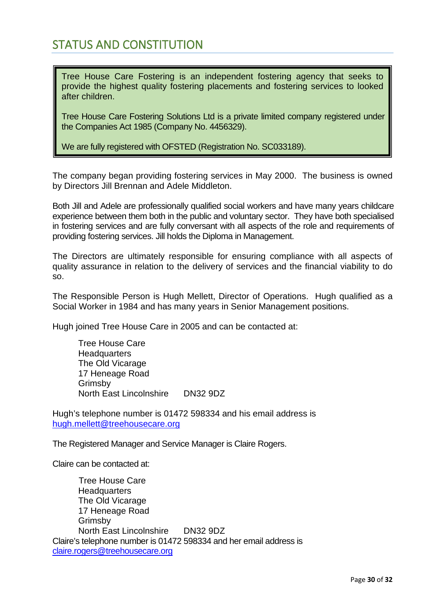#### <span id="page-29-0"></span>STATUS AND CONSTITUTION

Tree House Care Fostering is an independent fostering agency that seeks to provide the highest quality fostering placements and fostering services to looked after children.

Tree House Care Fostering Solutions Ltd is a private limited company registered under the Companies Act 1985 (Company No. 4456329).

We are fully registered with OFSTED (Registration No. SC033189).

The company began providing fostering services in May 2000. The business is owned by Directors Jill Brennan and Adele Middleton.

Both Jill and Adele are professionally qualified social workers and have many years childcare experience between them both in the public and voluntary sector. They have both specialised in fostering services and are fully conversant with all aspects of the role and requirements of providing fostering services. Jill holds the Diploma in Management.

The Directors are ultimately responsible for ensuring compliance with all aspects of quality assurance in relation to the delivery of services and the financial viability to do so.

The Responsible Person is Hugh Mellett, Director of Operations. Hugh qualified as a Social Worker in 1984 and has many years in Senior Management positions.

Hugh joined Tree House Care in 2005 and can be contacted at:

Tree House Care **Headquarters** The Old Vicarage 17 Heneage Road Grimsby North East Lincolnshire DN32 9DZ

Hugh's telephone number is 01472 598334 and his email address is hugh.mellett@treehousecare.org

The Registered Manager and Service Manager is Claire Rogers.

Claire can be contacted at:

Tree House Care **Headquarters** The Old Vicarage 17 Heneage Road Grimsby North East Lincolnshire DN32 9DZ Claire's telephone number is 01472 598334 and her email address is claire.rogers@treehousecare.org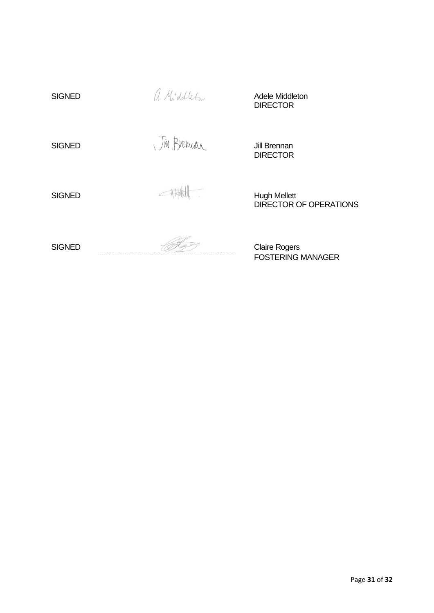| <b>SIGNED</b> | a-Middleton | Adele Middleton<br><b>DIRECTOR</b>                   |
|---------------|-------------|------------------------------------------------------|
| <b>SIGNED</b> | Jin Bremian | Jill Brennan<br><b>DIRECTOR</b>                      |
| <b>SIGNED</b> |             | <b>Hugh Mellett</b><br><b>DIRECTOR OF OPERATIONS</b> |
| <b>SIGNED</b> |             | <b>Claire Rogers</b><br><b>FOSTERING MANAGER</b>     |